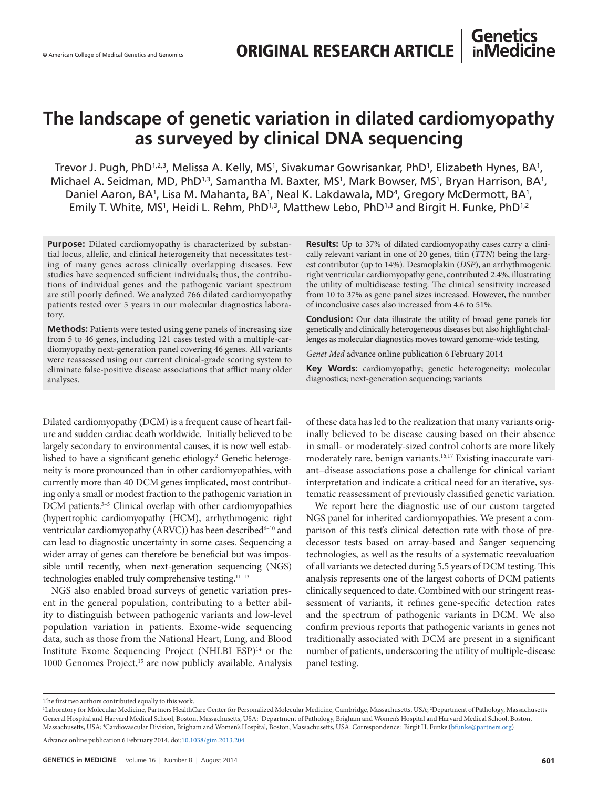# **The landscape of genetic variation in dilated cardiomyopathy as surveyed by clinical DNA sequencing**

Trevor J. Pugh, PhD1,2,3, Melissa A. Kelly, MS1, Sivakumar Gowrisankar, PhD1, Elizabeth Hynes, BA1, Michael A. Seidman, MD, PhD<sup>1,3</sup>, Samantha M. Baxter, MS<sup>1</sup>, Mark Bowser, MS<sup>1</sup>, Bryan Harrison, BA<sup>1</sup>, Daniel Aaron, BA<sup>1</sup>, Lisa M. Mahanta, BA<sup>1</sup>, Neal K. Lakdawala, MD<sup>4</sup>, Gregory McDermott, BA<sup>1</sup>, Emily T. White, MS<sup>1</sup>, Heidi L. Rehm, PhD<sup>1,3</sup>, Matthew Lebo, PhD<sup>1,3</sup> and Birgit H. Funke, PhD<sup>1,2</sup>

**Purpose:** Dilated cardiomyopathy is characterized by substantial locus, allelic, and clinical heterogeneity that necessitates testing of many genes across clinically overlapping diseases. Few studies have sequenced sufficient individuals; thus, the contributions of individual genes and the pathogenic variant spectrum are still poorly defined. We analyzed 766 dilated cardiomyopathy patients tested over 5 years in our molecular diagnostics laboratory.

**Methods:** Patients were tested using gene panels of increasing size from 5 to 46 genes, including 121 cases tested with a multiple-cardiomyopathy next-generation panel covering 46 genes. All variants were reassessed using our current clinical-grade scoring system to eliminate false-positive disease associations that afflict many older analyses.

Dilated cardiomyopathy (DCM) is a frequent cause of heart failure and sudden cardiac death worldwide.<sup>1</sup> Initially believed to be largely secondary to environmental causes, it is now well established to have a significant genetic etiology.<sup>2</sup> Genetic heterogeneity is more pronounced than in other cardiomyopathies, with currently more than 40 DCM genes implicated, most contributing only a small or modest fraction to the pathogenic variation in DCM patients.<sup>3-5</sup> Clinical overlap with other cardiomyopathies (hypertrophic cardiomyopathy (HCM), arrhythmogenic right ventricular cardiomyopathy (ARVC)) has been described<sup>6-10</sup> and can lead to diagnostic uncertainty in some cases. Sequencing a wider array of genes can therefore be beneficial but was impossible until recently, when next-generation sequencing (NGS) technologies enabled truly comprehensive testing.<sup>11-13</sup>

NGS also enabled broad surveys of genetic variation present in the general population, contributing to a better ability to distinguish between pathogenic variants and low-level population variation in patients. Exome-wide sequencing data, such as those from the National Heart, Lung, and Blood Institute Exome Sequencing Project (NHLBI ESP)<sup>14</sup> or the 1000 Genomes Project,<sup>15</sup> are now publicly available. Analysis

**Results:** Up to 37% of dilated cardiomyopathy cases carry a clinically relevant variant in one of 20 genes, titin (*TTN*) being the largest contributor (up to 14%). Desmoplakin (*DSP*), an arrhythmogenic right ventricular cardiomyopathy gene, contributed 2.4%, illustrating the utility of multidisease testing. The clinical sensitivity increased from 10 to 37% as gene panel sizes increased. However, the number of inconclusive cases also increased from 4.6 to 51%.

**Conclusion:** Our data illustrate the utility of broad gene panels for genetically and clinically heterogeneous diseases but also highlight challenges as molecular diagnostics moves toward genome-wide testing.

*Genet Med* advance online publication 6 February 2014

**Key Words:** cardiomyopathy; genetic heterogeneity; molecular diagnostics; next-generation sequencing; variants

of these data has led to the realization that many variants originally believed to be disease causing based on their absence in small- or moderately-sized control cohorts are more likely moderately rare, benign variants.<sup>16,17</sup> Existing inaccurate variant–disease associations pose a challenge for clinical variant interpretation and indicate a critical need for an iterative, systematic reassessment of previously classified genetic variation.

We report here the diagnostic use of our custom targeted NGS panel for inherited cardiomyopathies. We present a comparison of this test's clinical detection rate with those of predecessor tests based on array-based and Sanger sequencing technologies, as well as the results of a systematic reevaluation of all variants we detected during 5.5 years of DCM testing. This analysis represents one of the largest cohorts of DCM patients clinically sequenced to date. Combined with our stringent reassessment of variants, it refines gene-specific detection rates and the spectrum of pathogenic variants in DCM. We also confirm previous reports that pathogenic variants in genes not traditionally associated with DCM are present in a significant number of patients, underscoring the utility of multiple-disease panel testing.

Advance online publication 6 February 2014. doi[:10.1038/gim.2013.204](http://www.nature.com/doifinder/10.1038/gim.2013.204)

The first two authors contributed equally to this work.

<sup>1</sup> Laboratory for Molecular Medicine, Partners HealthCare Center for Personalized Molecular Medicine, Cambridge, Massachusetts, USA; 2 Department of Pathology, Massachusetts General Hospital and Harvard Medical School, Boston, Massachusetts, USA; <sup>3</sup>Department of Pathology, Brigham and Women's Hospital and Harvard Medical School, Boston, Massachusetts, USA; 4 Cardiovascular Division, Brigham and Women's Hospital, Boston, Massachusetts, USA. Correspondence: Birgit H. Funke [\(bfunke@partners.org](mailto:bfunke@partners.org))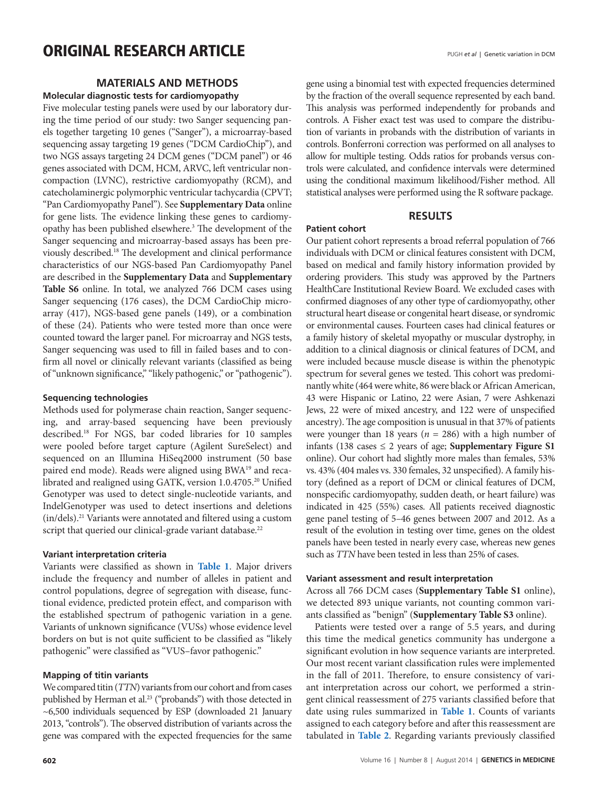# **ORIGINAL RESEARCH ARTICLE Example 20 ACC 2016 PUGH et al | Genetic variation in DCM**

# **MATERIALS AND METHODS**

# **Molecular diagnostic tests for cardiomyopathy**

Five molecular testing panels were used by our laboratory during the time period of our study: two Sanger sequencing panels together targeting 10 genes ("Sanger"), a microarray-based sequencing assay targeting 19 genes ("DCM CardioChip"), and two NGS assays targeting 24 DCM genes ("DCM panel") or 46 genes associated with DCM, HCM, ARVC, left ventricular noncompaction (LVNC), restrictive cardiomyopathy (RCM), and catecholaminergic polymorphic ventricular tachycardia (CPVT; "Pan Cardiomyopathy Panel"). See **Supplementary Data** online for gene lists. The evidence linking these genes to cardiomyopathy has been published elsewhere.3 The development of the Sanger sequencing and microarray-based assays has been previously described.18 The development and clinical performance characteristics of our NGS-based Pan Cardiomyopathy Panel are described in the **Supplementary Data** and **Supplementary Table S6** online. In total, we analyzed 766 DCM cases using Sanger sequencing (176 cases), the DCM CardioChip microarray (417), NGS-based gene panels (149), or a combination of these (24). Patients who were tested more than once were counted toward the larger panel. For microarray and NGS tests, Sanger sequencing was used to fill in failed bases and to confirm all novel or clinically relevant variants (classified as being of "unknown significance," "likely pathogenic," or "pathogenic").

#### **Sequencing technologies**

Methods used for polymerase chain reaction, Sanger sequencing, and array-based sequencing have been previously described.18 For NGS, bar coded libraries for 10 samples were pooled before target capture (Agilent SureSelect) and sequenced on an Illumina HiSeq2000 instrument (50 base paired end mode). Reads were aligned using BWA<sup>19</sup> and recalibrated and realigned using GATK, version 1.0.4705.<sup>20</sup> Unified Genotyper was used to detect single-nucleotide variants, and IndelGenotyper was used to detect insertions and deletions (in/dels).21 Variants were annotated and filtered using a custom script that queried our clinical-grade variant database.<sup>22</sup>

### **Variant interpretation criteria**

Variants were classified as shown in **[Table 1](#page-2-0)**. Major drivers include the frequency and number of alleles in patient and control populations, degree of segregation with disease, functional evidence, predicted protein effect, and comparison with the established spectrum of pathogenic variation in a gene. Variants of unknown significance (VUSs) whose evidence level borders on but is not quite sufficient to be classified as "likely pathogenic" were classified as "VUS–favor pathogenic."

#### **Mapping of titin variants**

We compared titin (*TTN*) variants from our cohort and from cases published by Herman et al.<sup>23</sup> ("probands") with those detected in ~6,500 individuals sequenced by ESP (downloaded 21 January 2013, "controls"). The observed distribution of variants across the gene was compared with the expected frequencies for the same gene using a binomial test with expected frequencies determined by the fraction of the overall sequence represented by each band. This analysis was performed independently for probands and controls. A Fisher exact test was used to compare the distribution of variants in probands with the distribution of variants in controls. Bonferroni correction was performed on all analyses to allow for multiple testing. Odds ratios for probands versus controls were calculated, and confidence intervals were determined using the conditional maximum likelihood/Fisher method. All statistical analyses were performed using the R software package.

# **RESULTS**

## **Patient cohort**

Our patient cohort represents a broad referral population of 766 individuals with DCM or clinical features consistent with DCM, based on medical and family history information provided by ordering providers. This study was approved by the Partners HealthCare Institutional Review Board. We excluded cases with confirmed diagnoses of any other type of cardiomyopathy, other structural heart disease or congenital heart disease, or syndromic or environmental causes. Fourteen cases had clinical features or a family history of skeletal myopathy or muscular dystrophy, in addition to a clinical diagnosis or clinical features of DCM, and were included because muscle disease is within the phenotypic spectrum for several genes we tested. This cohort was predominantly white (464 were white, 86 were black or African American, 43 were Hispanic or Latino, 22 were Asian, 7 were Ashkenazi Jews, 22 were of mixed ancestry, and 122 were of unspecified ancestry). The age composition is unusual in that 37% of patients were younger than 18 years ( $n = 286$ ) with a high number of infants (138 cases ≤ 2 years of age; **Supplementary Figure S1** online). Our cohort had slightly more males than females, 53% vs. 43% (404 males vs. 330 females, 32 unspecified). A family history (defined as a report of DCM or clinical features of DCM, nonspecific cardiomyopathy, sudden death, or heart failure) was indicated in 425 (55%) cases. All patients received diagnostic gene panel testing of 5–46 genes between 2007 and 2012. As a result of the evolution in testing over time, genes on the oldest panels have been tested in nearly every case, whereas new genes such as *TTN* have been tested in less than 25% of cases.

#### **Variant assessment and result interpretation**

Across all 766 DCM cases (**Supplementary Table S1** online), we detected 893 unique variants, not counting common variants classified as "benign" (**Supplementary Table S3** online).

Patients were tested over a range of 5.5 years, and during this time the medical genetics community has undergone a significant evolution in how sequence variants are interpreted. Our most recent variant classification rules were implemented in the fall of 2011. Therefore, to ensure consistency of variant interpretation across our cohort, we performed a stringent clinical reassessment of 275 variants classified before that date using rules summarized in **[Table 1](#page-2-0)**. Counts of variants assigned to each category before and after this reassessment are tabulated in **[Table 2](#page-2-1)**. Regarding variants previously classified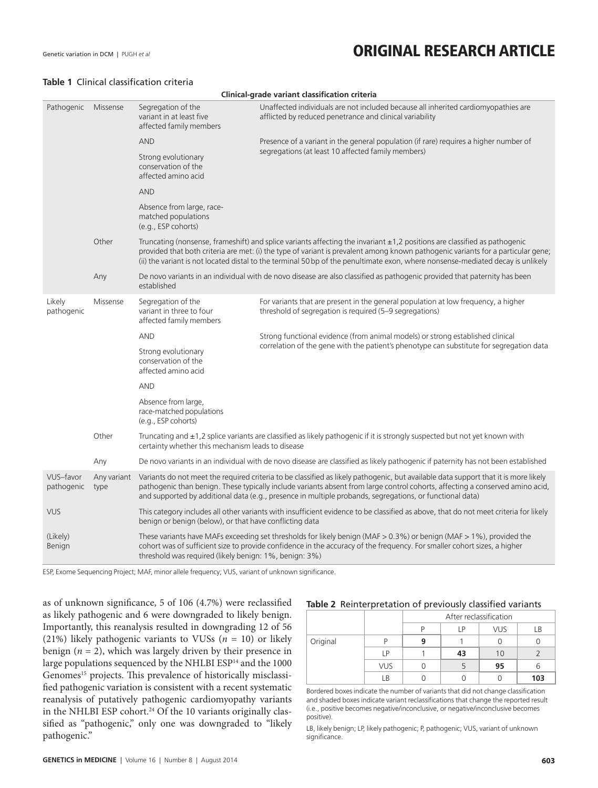# Genetic variation in DCM | PUGH et al **ORIGINAL RESEARCH ARTICLE**

### <span id="page-2-0"></span>**Table 1** Clinical classification criteria

| Clinical-grade variant classification criteria |                     |                                                                                                                                                                                                                                                                                                                                                                                                         |                                                                                                                                                                                                                                                         |  |  |  |  |  |  |
|------------------------------------------------|---------------------|---------------------------------------------------------------------------------------------------------------------------------------------------------------------------------------------------------------------------------------------------------------------------------------------------------------------------------------------------------------------------------------------------------|---------------------------------------------------------------------------------------------------------------------------------------------------------------------------------------------------------------------------------------------------------|--|--|--|--|--|--|
| Pathogenic                                     | Missense            | Segregation of the<br>variant in at least five<br>affected family members                                                                                                                                                                                                                                                                                                                               | Unaffected individuals are not included because all inherited cardiomyopathies are<br>afflicted by reduced penetrance and clinical variability                                                                                                          |  |  |  |  |  |  |
|                                                |                     | <b>AND</b>                                                                                                                                                                                                                                                                                                                                                                                              | Presence of a variant in the general population (if rare) requires a higher number of                                                                                                                                                                   |  |  |  |  |  |  |
|                                                |                     | Strong evolutionary<br>conservation of the<br>affected amino acid                                                                                                                                                                                                                                                                                                                                       | segregations (at least 10 affected family members)                                                                                                                                                                                                      |  |  |  |  |  |  |
|                                                |                     | <b>AND</b>                                                                                                                                                                                                                                                                                                                                                                                              |                                                                                                                                                                                                                                                         |  |  |  |  |  |  |
|                                                |                     | Absence from large, race-<br>matched populations<br>(e.g., ESP cohorts)                                                                                                                                                                                                                                                                                                                                 |                                                                                                                                                                                                                                                         |  |  |  |  |  |  |
|                                                | Other               | Truncating (nonsense, frameshift) and splice variants affecting the invariant $\pm 1$ , 2 positions are classified as pathogenic<br>provided that both criteria are met: (i) the type of variant is prevalent among known pathogenic variants for a particular gene;<br>(ii) the variant is not located distal to the terminal 50 bp of the penultimate exon, where nonsense-mediated decay is unlikely |                                                                                                                                                                                                                                                         |  |  |  |  |  |  |
|                                                | Any                 | De novo variants in an individual with de novo disease are also classified as pathogenic provided that paternity has been<br>established                                                                                                                                                                                                                                                                |                                                                                                                                                                                                                                                         |  |  |  |  |  |  |
| Likely<br>pathogenic                           | Missense            | Segregation of the<br>variant in three to four<br>affected family members                                                                                                                                                                                                                                                                                                                               | For variants that are present in the general population at low frequency, a higher<br>threshold of segregation is required (5-9 segregations)                                                                                                           |  |  |  |  |  |  |
|                                                |                     | <b>AND</b>                                                                                                                                                                                                                                                                                                                                                                                              | Strong functional evidence (from animal models) or strong established clinical                                                                                                                                                                          |  |  |  |  |  |  |
|                                                |                     | Strong evolutionary<br>conservation of the<br>affected amino acid                                                                                                                                                                                                                                                                                                                                       | correlation of the gene with the patient's phenotype can substitute for segregation data                                                                                                                                                                |  |  |  |  |  |  |
|                                                |                     | <b>AND</b>                                                                                                                                                                                                                                                                                                                                                                                              |                                                                                                                                                                                                                                                         |  |  |  |  |  |  |
|                                                |                     | Absence from large,<br>race-matched populations<br>(e.g., ESP cohorts)                                                                                                                                                                                                                                                                                                                                  |                                                                                                                                                                                                                                                         |  |  |  |  |  |  |
|                                                | Other               | Truncating and $\pm$ 1,2 splice variants are classified as likely pathogenic if it is strongly suspected but not yet known with<br>certainty whether this mechanism leads to disease                                                                                                                                                                                                                    |                                                                                                                                                                                                                                                         |  |  |  |  |  |  |
|                                                | Any                 | De novo variants in an individual with de novo disease are classified as likely pathogenic if paternity has not been established                                                                                                                                                                                                                                                                        |                                                                                                                                                                                                                                                         |  |  |  |  |  |  |
| VUS-favor<br>pathogenic                        | Any variant<br>type | Variants do not meet the required criteria to be classified as likely pathogenic, but available data support that it is more likely<br>pathogenic than benign. These typically include variants absent from large control cohorts, affecting a conserved amino acid,<br>and supported by additional data (e.g., presence in multiple probands, segregations, or functional data)                        |                                                                                                                                                                                                                                                         |  |  |  |  |  |  |
| <b>VUS</b>                                     |                     | This category includes all other variants with insufficient evidence to be classified as above, that do not meet criteria for likely<br>benign or benign (below), or that have conflicting data                                                                                                                                                                                                         |                                                                                                                                                                                                                                                         |  |  |  |  |  |  |
| (Likely)<br>Benign                             |                     | threshold was required (likely benign: 1%, benign: 3%)                                                                                                                                                                                                                                                                                                                                                  | These variants have MAFs exceeding set thresholds for likely benign (MAF > $0.3\%$ ) or benign (MAF > $1\%$ ), provided the<br>cohort was of sufficient size to provide confidence in the accuracy of the frequency. For smaller cohort sizes, a higher |  |  |  |  |  |  |

ESP, Exome Sequencing Project; MAF, minor allele frequency; VUS, variant of unknown significance.

as of unknown significance, 5 of 106 (4.7%) were reclassified as likely pathogenic and 6 were downgraded to likely benign. Importantly, this reanalysis resulted in downgrading 12 of 56 (21%) likely pathogenic variants to VUSs (*n* = 10) or likely benign  $(n = 2)$ , which was largely driven by their presence in large populations sequenced by the NHLBI ESP<sup>14</sup> and the 1000 Genomes<sup>15</sup> projects. This prevalence of historically misclassified pathogenic variation is consistent with a recent systematic reanalysis of putatively pathogenic cardiomyopathy variants in the NHLBI ESP cohort.<sup>24</sup> Of the 10 variants originally classified as "pathogenic," only one was downgraded to "likely pathogenic."

#### <span id="page-2-1"></span>**Table 2** Reinterpretation of previously classified variants

|          |            |                        | -  |            |     |
|----------|------------|------------------------|----|------------|-----|
|          |            | After reclassification |    |            |     |
|          |            |                        | LР | <b>VUS</b> | LВ  |
| Original |            | q                      |    |            |     |
|          | <b>LP</b>  |                        | 43 | 10         |     |
|          | <b>VUS</b> |                        |    | 95         | ь   |
|          | <b>R</b>   |                        |    |            | 103 |

Bordered boxes indicate the number of variants that did not change classification and shaded boxes indicate variant reclassifications that change the reported result (i.e., positive becomes negative/inconclusive, or negative/inconclusive becomes positive).

LB, likely benign; LP, likely pathogenic; P, pathogenic; VUS, variant of unknown significance.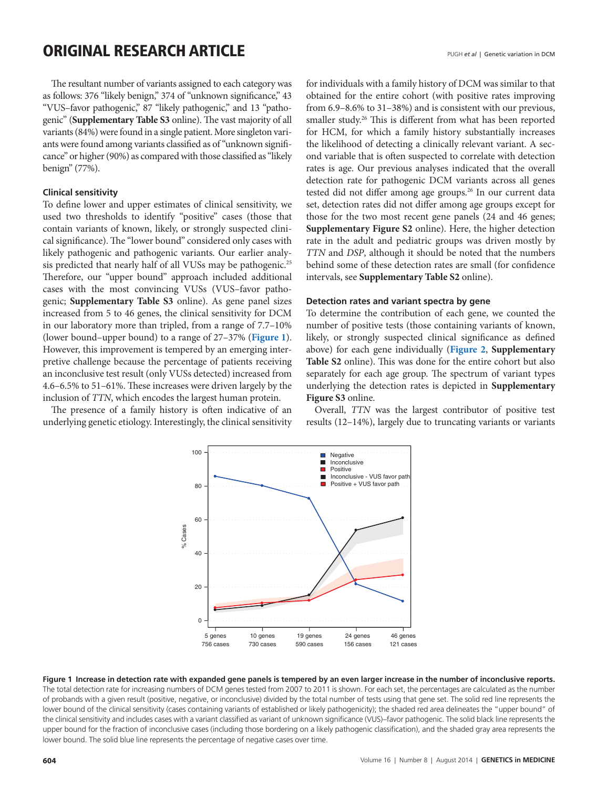# **ORIGINAL RESEARCH ARTICLE Example 20 ACC 2016 PUGH et al | Genetic variation in DCM**

The resultant number of variants assigned to each category was as follows: 376 "likely benign," 374 of "unknown significance," 43 "VUS–favor pathogenic," 87 "likely pathogenic," and 13 "pathogenic" (**Supplementary Table S3** online). The vast majority of all variants (84%) were found in a single patient. More singleton variants were found among variants classified as of "unknown significance" or higher (90%) as compared with those classified as "likely benign" (77%).

### **Clinical sensitivity**

To define lower and upper estimates of clinical sensitivity, we used two thresholds to identify "positive" cases (those that contain variants of known, likely, or strongly suspected clinical significance). The "lower bound" considered only cases with likely pathogenic and pathogenic variants. Our earlier analysis predicted that nearly half of all VUSs may be pathogenic.<sup>25</sup> Therefore, our "upper bound" approach included additional cases with the most convincing VUSs (VUS–favor pathogenic; **Supplementary Table S3** online). As gene panel sizes increased from 5 to 46 genes, the clinical sensitivity for DCM in our laboratory more than tripled, from a range of 7.7–10% (lower bound–upper bound) to a range of 27–37% (**[Figure 1](#page-3-0)**). However, this improvement is tempered by an emerging interpretive challenge because the percentage of patients receiving an inconclusive test result (only VUSs detected) increased from 4.6–6.5% to 51–61%. These increases were driven largely by the inclusion of *TTN*, which encodes the largest human protein.

The presence of a family history is often indicative of an underlying genetic etiology. Interestingly, the clinical sensitivity for individuals with a family history of DCM was similar to that obtained for the entire cohort (with positive rates improving from 6.9–8.6% to 31–38%) and is consistent with our previous, smaller study.<sup>26</sup> This is different from what has been reported for HCM, for which a family history substantially increases the likelihood of detecting a clinically relevant variant. A second variable that is often suspected to correlate with detection rates is age. Our previous analyses indicated that the overall detection rate for pathogenic DCM variants across all genes tested did not differ among age groups.<sup>26</sup> In our current data set, detection rates did not differ among age groups except for those for the two most recent gene panels (24 and 46 genes; **Supplementary Figure S2** online). Here, the higher detection rate in the adult and pediatric groups was driven mostly by *TTN* and *DSP*, although it should be noted that the numbers behind some of these detection rates are small (for confidence intervals, see **Supplementary Table S2** online).

#### **Detection rates and variant spectra by gene**

To determine the contribution of each gene, we counted the number of positive tests (those containing variants of known, likely, or strongly suspected clinical significance as defined above) for each gene individually (**[Figure 2](#page-4-0)**, **Supplementary Table S2** online). This was done for the entire cohort but also separately for each age group. The spectrum of variant types underlying the detection rates is depicted in **Supplementary Figure S3** online.

Overall, *TTN* was the largest contributor of positive test results (12–14%), largely due to truncating variants or variants

<span id="page-3-0"></span>

**Figure 1 Increase in detection rate with expanded gene panels is tempered by an even larger increase in the number of inconclusive reports.** The total detection rate for increasing numbers of DCM genes tested from 2007 to 2011 is shown. For each set, the percentages are calculated as the number of probands with a given result (positive, negative, or inconclusive) divided by the total number of tests using that gene set. The solid red line represents the lower bound of the clinical sensitivity (cases containing variants of established or likely pathogenicity); the shaded red area delineates the "upper bound" of the clinical sensitivity and includes cases with a variant classified as variant of unknown significance (VUS)–favor pathogenic. The solid black line represents the upper bound for the fraction of inconclusive cases (including those bordering on a likely pathogenic classification), and the shaded gray area represents the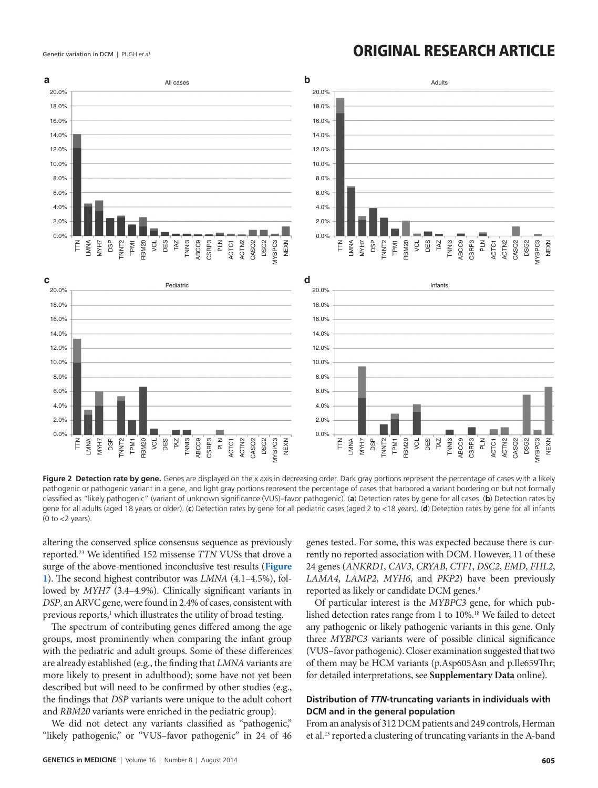#### <span id="page-4-0"></span>0.0% Pediatric  $\vec{E}$ LMNA MYH7 DSP TNNT2 TPM1 RBM20 VCL DES TAZ TNNI3 ABCC9 CSRP3  $\frac{2}{n}$ ACTC1 ACTN2 CASQ2 DSG2 MYBPC3 NEXN 2.0% 4.0% 6.0% 8.0% 10.0% 12.0% 14.0% 16.0% 18.0% 20.0% 0.0%  $\vec{E}$ LMNA MYH7 DSP TNNT2 TPM1 RBM20 VCL DES TAZ TNNI3 ABCC9 CSRP3 PLN ACTC<sub>1</sub> ACTN2 CASQ2 DSG2 MYBPC3 NEXN 2.0% 4.0% 6.0% 8.0% 10.0% 12.0% 14.0% 16.0% 18.0% 20.0% 0.0%  $\vec{E}$ LMNA MYH7 DSP TNNT2 TPM1 RBM20 VCL DES TAZ TNNI3 ABCC9 CSRP3 PLN ACTC1 ACTN2 CASQ2 DSG2 MYBPC3 NEXN 2.0% 4.0% 6.0% 8.0% 10.0% 12.0% 14.0% 16.0% 18.0%  $20.0\%$  This is a metallic contract of the contract of the contract of the contract of the contract of the contract of the contract of the contract of the contract of the contract of the contract of the contract of the c All cases **D D Adults** 0.0%  $\vec{E}$ LMNA MYH7 DSP TNNT2 TPM1 RBM20  $\vec{c}$ DES TAZ TNNI3 ABCC9 CSRP3 PLN ACTC1 ACTN2 CASQ2 DSG2 MYBPC3 NEXN 2.0% 4.0% 6.0% 8.0% 10.0% 12.0% 14.0% 16.0% 18.0% 20.0% **a b b b b c d**

# Genetic variation in DCM | PUGH et al **ORIGINAL RESEARCH ARTICLE**

Figure 2 Detection rate by gene. Genes are displayed on the x axis in decreasing order. Dark gray portions represent the percentage of cases with a likely pathogenic or pathogenic variant in a gene, and light gray portions represent the percentage of cases that harbored a variant bordering on but not formally classified as "likely pathogenic" (variant of unknown significance (VUS)–favor pathogenic). (**a**) Detection rates by gene for all cases. (**b**) Detection rates by gene for all adults (aged 18 years or older). (**c**) Detection rates by gene for all pediatric cases (aged 2 to <18 years). (**d**) Detection rates by gene for all infants (0 to  $<$ 2 years).

altering the conserved splice consensus sequence as previously reported.23 We identified 152 missense *TTN* VUSs that drove a surge of the above-mentioned inconclusive test results (**[Figure](#page-3-0)  [1](#page-3-0)**). The second highest contributor was *LMNA* (4.1–4.5%), followed by *MYH7* (3.4–4.9%). Clinically significant variants in *DSP*, an ARVC gene, were found in 2.4% of cases, consistent with previous reports,<sup>1</sup> which illustrates the utility of broad testing.

The spectrum of contributing genes differed among the age groups, most prominently when comparing the infant group with the pediatric and adult groups. Some of these differences are already established (e.g., the finding that *LMNA* variants are more likely to present in adulthood); some have not yet been described but will need to be confirmed by other studies (e.g., the findings that *DSP* variants were unique to the adult cohort and *RBM20* variants were enriched in the pediatric group).

We did not detect any variants classified as "pathogenic," "likely pathogenic," or "VUS–favor pathogenic" in 24 of 46 genes tested. For some, this was expected because there is currently no reported association with DCM. However, 11 of these 24 genes (*ANKRD1*, *CAV3*, *CRYAB*, *CTF1*, *DSC2*, *EMD*, *FHL2*, *LAMA4*, *LAMP2*, *MYH6*, and *PKP2*) have been previously reported as likely or candidate DCM genes.<sup>3</sup>

Of particular interest is the *MYBPC3* gene, for which published detection rates range from 1 to 10%.18 We failed to detect any pathogenic or likely pathogenic variants in this gene. Only three *MYBPC3* variants were of possible clinical significance (VUS–favor pathogenic). Closer examination suggested that two of them may be HCM variants (p.Asp605Asn and p.Ile659Thr; for detailed interpretations, see **Supplementary Data** online).

# **Distribution of** *TTN***-truncating variants in individuals with DCM and in the general population**

From an analysis of 312 DCM patients and 249 controls, Herman et al.23 reported a clustering of truncating variants in the A-band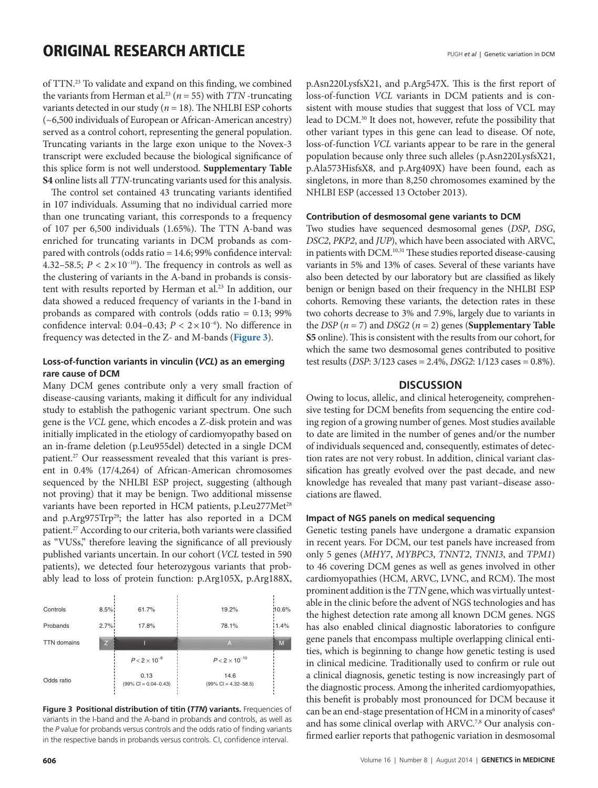# **ORIGINAL RESEARCH ARTICLE Example 20 ACC 2016 PUGH et al | Genetic variation in DCM**

of TTN.23 To validate and expand on this finding, we combined the variants from Herman et al.<sup>23</sup> ( $n = 55$ ) with *TTN* -truncating variants detected in our study ( $n = 18$ ). The NHLBI ESP cohorts (~6,500 individuals of European or African-American ancestry) served as a control cohort, representing the general population. Truncating variants in the large exon unique to the Novex-3 transcript were excluded because the biological significance of this splice form is not well understood. **Supplementary Table S4** online lists all *TTN-*truncating variants used for this analysis.

The control set contained 43 truncating variants identified in 107 individuals. Assuming that no individual carried more than one truncating variant, this corresponds to a frequency of 107 per 6,500 individuals (1.65%). The TTN A-band was enriched for truncating variants in DCM probands as compared with controls (odds ratio = 14.6; 99% confidence interval: 4.32–58.5;  $P < 2 \times 10^{-10}$ ). The frequency in controls as well as the clustering of variants in the A-band in probands is consistent with results reported by Herman et al.<sup>23</sup> In addition, our data showed a reduced frequency of variants in the I-band in probands as compared with controls (odds ratio = 0.13; 99% confidence interval: 0.04–0.43; *P* < 2×10−6). No difference in frequency was detected in the Z- and M-bands (**[Figure 3](#page-5-0)**).

# **Loss-of-function variants in vinculin (***VCL***) as an emerging rare cause of DCM**

Many DCM genes contribute only a very small fraction of disease-causing variants, making it difficult for any individual study to establish the pathogenic variant spectrum. One such gene is the *VCL* gene, which encodes a Z-disk protein and was initially implicated in the etiology of cardiomyopathy based on an in-frame deletion (p.Leu955del) detected in a single DCM patient.27 Our reassessment revealed that this variant is present in 0.4% (17/4,264) of African-American chromosomes sequenced by the NHLBI ESP project, suggesting (although not proving) that it may be benign. Two additional missense variants have been reported in HCM patients, p.Leu277Met<sup>28</sup> and p.Arg975Trp<sup>29</sup>; the latter has also reported in a DCM patient.27 According to our criteria, both variants were classified as "VUSs," therefore leaving the significance of all previously published variants uncertain. In our cohort (*VCL* tested in 590 patients), we detected four heterozygous variants that probably lead to loss of protein function: p.Arg105X, p.Arg188X,

<span id="page-5-0"></span>

| Controls           | $8.5\%$        | 61.7%                                     | 19.2%                                     | :10.6% |
|--------------------|----------------|-------------------------------------------|-------------------------------------------|--------|
| Probands           | 2.7%           | 17.8%                                     | 78.1%                                     | 1.4%   |
| <b>TTN</b> domains | $\overline{z}$ |                                           | A                                         | M      |
|                    |                | $P < 2 \times 10^{-6}$                    | $P < 2 \times 10^{-10}$                   |        |
| Odds ratio         |                | 0.13<br>$(99\% \text{ Cl} = 0.04 - 0.43)$ | 14.6<br>$(99\% \text{ Cl} = 4.32 - 58.5)$ |        |

**Figure 3 Positional distribution of titin (***TTN***) variants.** Frequencies of variants in the I-band and the A-band in probands and controls, as well as the *P* value for probands versus controls and the odds ratio of finding variants in the respective bands in probands versus controls. CI, confidence interval.

p.Asn220LysfsX21, and p.Arg547X. This is the first report of loss-of-function *VCL* variants in DCM patients and is consistent with mouse studies that suggest that loss of VCL may lead to DCM.30 It does not, however, refute the possibility that other variant types in this gene can lead to disease. Of note, loss-of-function *VCL* variants appear to be rare in the general population because only three such alleles (p.Asn220LysfsX21, p.Ala573HisfsX8, and p.Arg409X) have been found, each as singletons, in more than 8,250 chromosomes examined by the NHLBI ESP (accessed 13 October 2013).

# **Contribution of desmosomal gene variants to DCM**

Two studies have sequenced desmosomal genes (*DSP*, *DSG*, *DSC2*, *PKP2*, and *JUP*), which have been associated with ARVC, in patients with DCM.10,31 These studies reported disease-causing variants in 5% and 13% of cases. Several of these variants have also been detected by our laboratory but are classified as likely benign or benign based on their frequency in the NHLBI ESP cohorts. Removing these variants, the detection rates in these two cohorts decrease to 3% and 7.9%, largely due to variants in the *DSP*  $(n = 7)$  and *DSG2*  $(n = 2)$  genes (**Supplementary Table S5** online). This is consistent with the results from our cohort, for which the same two desmosomal genes contributed to positive test results (*DSP*: 3/123 cases = 2.4%, *DSG2*: 1/123 cases = 0.8%).

### **DISCUSSION**

Owing to locus, allelic, and clinical heterogeneity, comprehensive testing for DCM benefits from sequencing the entire coding region of a growing number of genes. Most studies available to date are limited in the number of genes and/or the number of individuals sequenced and, consequently, estimates of detection rates are not very robust. In addition, clinical variant classification has greatly evolved over the past decade, and new knowledge has revealed that many past variant–disease associations are flawed.

# **Impact of NGS panels on medical sequencing**

Genetic testing panels have undergone a dramatic expansion in recent years. For DCM, our test panels have increased from only 5 genes (*MHY7*, *MYBPC3*, *TNNT2*, *TNNI3*, and *TPM1*) to 46 covering DCM genes as well as genes involved in other cardiomyopathies (HCM, ARVC, LVNC, and RCM). The most prominent addition is the *TTN* gene, which was virtually untestable in the clinic before the advent of NGS technologies and has the highest detection rate among all known DCM genes. NGS has also enabled clinical diagnostic laboratories to configure gene panels that encompass multiple overlapping clinical entities, which is beginning to change how genetic testing is used in clinical medicine. Traditionally used to confirm or rule out a clinical diagnosis, genetic testing is now increasingly part of the diagnostic process. Among the inherited cardiomyopathies, this benefit is probably most pronounced for DCM because it can be an end-stage presentation of HCM in a minority of cases<sup>6</sup> and has some clinical overlap with ARVC.<sup>7,8</sup> Our analysis confirmed earlier reports that pathogenic variation in desmosomal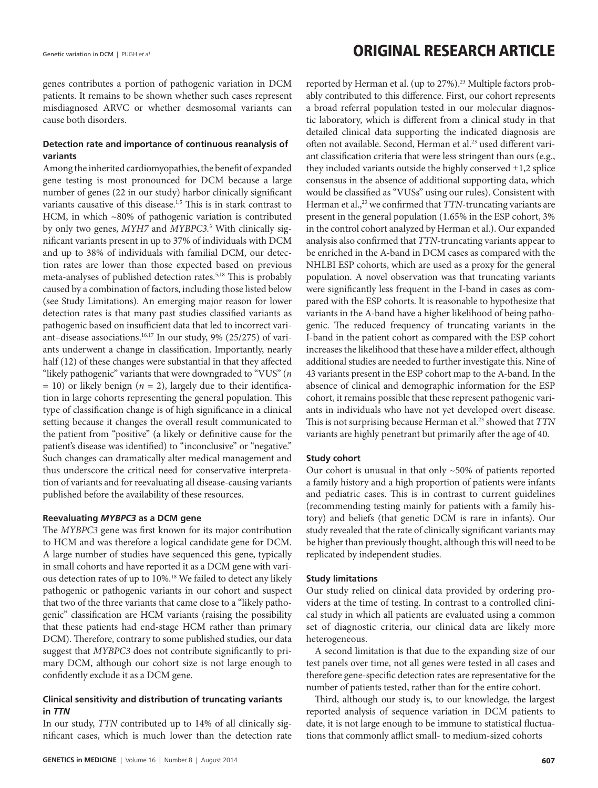genes contributes a portion of pathogenic variation in DCM patients. It remains to be shown whether such cases represent misdiagnosed ARVC or whether desmosomal variants can cause both disorders.

# **Detection rate and importance of continuous reanalysis of variants**

Among the inherited cardiomyopathies, the benefit of expanded gene testing is most pronounced for DCM because a large number of genes (22 in our study) harbor clinically significant variants causative of this disease.<sup>1,5</sup> This is in stark contrast to HCM, in which ~80% of pathogenic variation is contributed by only two genes, *MYH7* and *MYBPC3.*<sup>3</sup> With clinically significant variants present in up to 37% of individuals with DCM and up to 38% of individuals with familial DCM, our detection rates are lower than those expected based on previous meta-analyses of published detection rates.5,18 This is probably caused by a combination of factors, including those listed below (see Study Limitations). An emerging major reason for lower detection rates is that many past studies classified variants as pathogenic based on insufficient data that led to incorrect variant–disease associations.16,17 In our study, 9% (25/275) of variants underwent a change in classification. Importantly, nearly half (12) of these changes were substantial in that they affected "likely pathogenic" variants that were downgraded to "VUS" (*n*  $= 10$ ) or likely benign ( $n = 2$ ), largely due to their identification in large cohorts representing the general population. This type of classification change is of high significance in a clinical setting because it changes the overall result communicated to the patient from "positive" (a likely or definitive cause for the patient's disease was identified) to "inconclusive" or "negative." Such changes can dramatically alter medical management and thus underscore the critical need for conservative interpretation of variants and for reevaluating all disease-causing variants published before the availability of these resources.

# **Reevaluating** *MYBPC3* **as a DCM gene**

The *MYBPC3* gene was first known for its major contribution to HCM and was therefore a logical candidate gene for DCM. A large number of studies have sequenced this gene, typically in small cohorts and have reported it as a DCM gene with various detection rates of up to 10%.18 We failed to detect any likely pathogenic or pathogenic variants in our cohort and suspect that two of the three variants that came close to a "likely pathogenic" classification are HCM variants (raising the possibility that these patients had end-stage HCM rather than primary DCM). Therefore, contrary to some published studies, our data suggest that *MYBPC3* does not contribute significantly to primary DCM, although our cohort size is not large enough to confidently exclude it as a DCM gene.

# **Clinical sensitivity and distribution of truncating variants in** *TTN*

In our study, *TTN* contributed up to 14% of all clinically significant cases, which is much lower than the detection rate reported by Herman et al. (up to 27%).<sup>23</sup> Multiple factors probably contributed to this difference. First, our cohort represents a broad referral population tested in our molecular diagnostic laboratory, which is different from a clinical study in that detailed clinical data supporting the indicated diagnosis are often not available. Second, Herman et al.<sup>23</sup> used different variant classification criteria that were less stringent than ours (e.g., they included variants outside the highly conserved  $\pm 1,2$  splice consensus in the absence of additional supporting data, which would be classified as "VUSs" using our rules). Consistent with Herman et al.,<sup>23</sup> we confirmed that *TTN*-truncating variants are present in the general population (1.65% in the ESP cohort, 3% in the control cohort analyzed by Herman et al.). Our expanded analysis also confirmed that *TTN*-truncating variants appear to be enriched in the A-band in DCM cases as compared with the NHLBI ESP cohorts, which are used as a proxy for the general population. A novel observation was that truncating variants were significantly less frequent in the I-band in cases as compared with the ESP cohorts. It is reasonable to hypothesize that variants in the A-band have a higher likelihood of being pathogenic. The reduced frequency of truncating variants in the I-band in the patient cohort as compared with the ESP cohort increases the likelihood that these have a milder effect, although additional studies are needed to further investigate this. Nine of 43 variants present in the ESP cohort map to the A-band. In the absence of clinical and demographic information for the ESP cohort, it remains possible that these represent pathogenic variants in individuals who have not yet developed overt disease. This is not surprising because Herman et al.<sup>23</sup> showed that *TTN* variants are highly penetrant but primarily after the age of 40.

# **Study cohort**

Our cohort is unusual in that only ~50% of patients reported a family history and a high proportion of patients were infants and pediatric cases. This is in contrast to current guidelines (recommending testing mainly for patients with a family history) and beliefs (that genetic DCM is rare in infants). Our study revealed that the rate of clinically significant variants may be higher than previously thought, although this will need to be replicated by independent studies.

# **Study limitations**

Our study relied on clinical data provided by ordering providers at the time of testing. In contrast to a controlled clinical study in which all patients are evaluated using a common set of diagnostic criteria, our clinical data are likely more heterogeneous.

A second limitation is that due to the expanding size of our test panels over time, not all genes were tested in all cases and therefore gene-specific detection rates are representative for the number of patients tested, rather than for the entire cohort.

Third, although our study is, to our knowledge, the largest reported analysis of sequence variation in DCM patients to date, it is not large enough to be immune to statistical fluctuations that commonly afflict small- to medium-sized cohorts